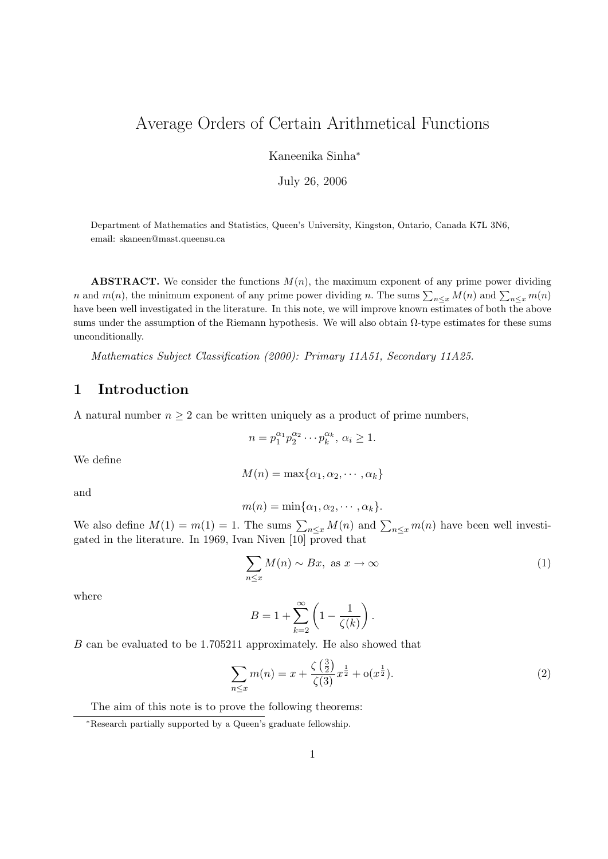# Average Orders of Certain Arithmetical Functions

Kaneenika Sinha<sup>∗</sup>

July 26, 2006

Department of Mathematics and Statistics, Queen's University, Kingston, Ontario, Canada K7L 3N6, email: skaneen@mast.queensu.ca

**ABSTRACT.** We consider the functions  $M(n)$ , the maximum exponent of any prime power dividing n and  $m(n)$ , the minimum exponent of any prime power dividing n. The sums  $\sum_{n\leq x} M(n)$  and  $\sum_{n\leq x} m(n)$ have been well investigated in the literature. In this note, we will improve known estimates of both the above sums under the assumption of the Riemann hypothesis. We will also obtain  $\Omega$ -type estimates for these sums unconditionally.

Mathematics Subject Classification (2000): Primary 11A51, Secondary 11A25.

### 1 Introduction

A natural number  $n \geq 2$  can be written uniquely as a product of prime numbers,

$$
n = p_1^{\alpha_1} p_2^{\alpha_2} \cdots p_k^{\alpha_k}, \, \alpha_i \ge 1.
$$

We define

$$
M(n) = \max\{\alpha_1, \alpha_2, \cdots, \alpha_k\}
$$

and

$$
m(n) = \min\{\alpha_1, \alpha_2, \cdots, \alpha_k\}.
$$

We also define  $M(1) = m(1) = 1$ . The sums  $\sum_{n \leq x} M(n)$  and  $\sum_{n \leq x} m(n)$  have been well investigated in the literature. In 1969, Ivan Niven [10] proved that

$$
\sum_{n \le x} M(n) \sim Bx, \text{ as } x \to \infty \tag{1}
$$

where

$$
B = 1 + \sum_{k=2}^{\infty} \left( 1 - \frac{1}{\zeta(k)} \right).
$$

B can be evaluated to be 1.705211 approximately. He also showed that

$$
\sum_{n \le x} m(n) = x + \frac{\zeta(\frac{3}{2})}{\zeta(3)} x^{\frac{1}{2}} + o(x^{\frac{1}{2}}).
$$
 (2)

The aim of this note is to prove the following theorems:

<sup>∗</sup>Research partially supported by a Queen's graduate fellowship.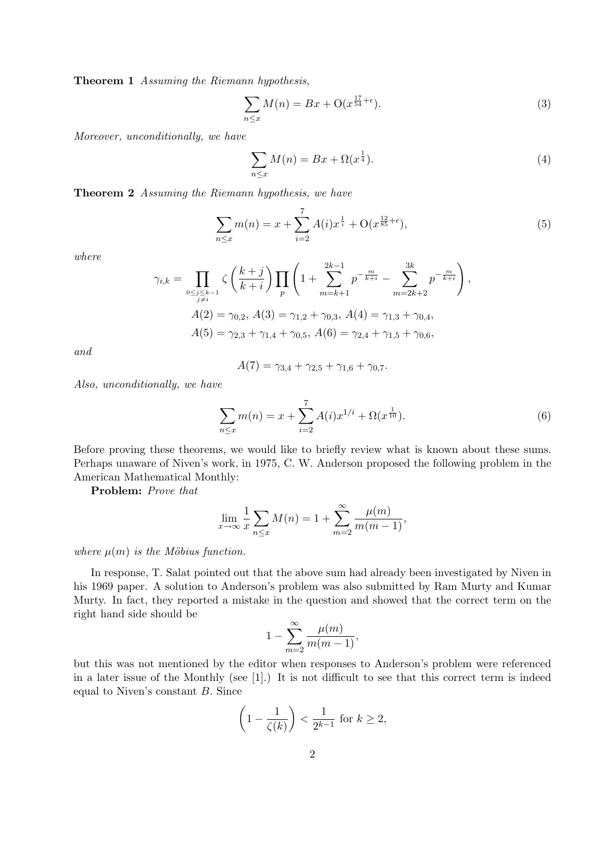Theorem 1 Assuming the Riemann hypothesis,

$$
\sum_{n\leq x} M(n) = Bx + \mathcal{O}(x^{\frac{17}{54}+\epsilon}).\tag{3}
$$

Moreover, unconditionally, we have

$$
\sum_{n \le x} M(n) = Bx + \Omega(x^{\frac{1}{4}}). \tag{4}
$$

Theorem 2 Assuming the Riemann hypothesis, we have

$$
\sum_{n \le x} m(n) = x + \sum_{i=2}^{7} A(i) x^{\frac{1}{i}} + O(x^{\frac{12}{85} + \epsilon}), \tag{5}
$$

where

$$
\gamma_{i,k} = \prod_{\substack{0 \le j \le k-1 \\ j \ne i}} \zeta \left(\frac{k+j}{k+i}\right) \prod_p \left(1 + \sum_{m=k+1}^{2k-1} p^{-\frac{m}{k+i}} - \sum_{m=2k+2}^{3k} p^{-\frac{m}{k+i}}\right),
$$
  

$$
A(2) = \gamma_{0,2}, A(3) = \gamma_{1,2} + \gamma_{0,3}, A(4) = \gamma_{1,3} + \gamma_{0,4},
$$
  

$$
A(5) = \gamma_{2,3} + \gamma_{1,4} + \gamma_{0,5}, A(6) = \gamma_{2,4} + \gamma_{1,5} + \gamma_{0,6},
$$

and

$$
A(7) = \gamma_{3,4} + \gamma_{2,5} + \gamma_{1,6} + \gamma_{0,7}.
$$

Also, unconditionally, we have

$$
\sum_{n \le x} m(n) = x + \sum_{i=2}^{7} A(i)x^{1/i} + \Omega(x^{\frac{1}{10}}).
$$
 (6)

Before proving these theorems, we would like to briefly review what is known about these sums. Perhaps unaware of Niven's work, in 1975, C. W. Anderson proposed the following problem in the American Mathematical Monthly:

Problem: Prove that

$$
\lim_{x \to \infty} \frac{1}{x} \sum_{n \le x} M(n) = 1 + \sum_{m=2}^{\infty} \frac{\mu(m)}{m(m-1)},
$$

where  $\mu(m)$  is the Möbius function.

In response, T. Salat pointed out that the above sum had already been investigated by Niven in his 1969 paper. A solution to Anderson's problem was also submitted by Ram Murty and Kumar Murty. In fact, they reported a mistake in the question and showed that the correct term on the right hand side should be

$$
1 - \sum_{m=2}^{\infty} \frac{\mu(m)}{m(m-1)},
$$

but this was not mentioned by the editor when responses to Anderson's problem were referenced in a later issue of the Monthly (see [1].) It is not difficult to see that this correct term is indeed equal to Niven's constant  $B$ . Since

$$
\left(1 - \frac{1}{\zeta(k)}\right) < \frac{1}{2^{k-1}} \text{ for } k \ge 2,
$$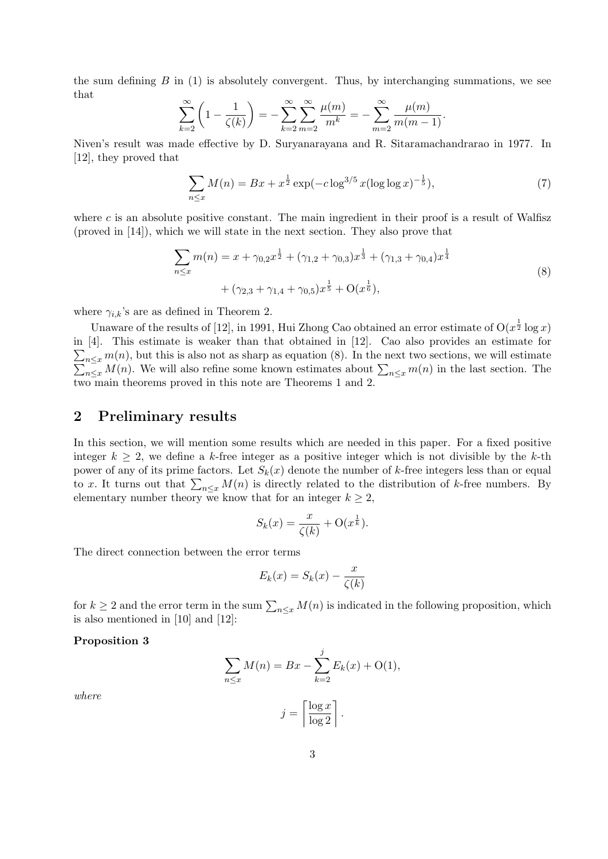the sum defining  $B$  in (1) is absolutely convergent. Thus, by interchanging summations, we see that

$$
\sum_{k=2}^{\infty} \left( 1 - \frac{1}{\zeta(k)} \right) = -\sum_{k=2}^{\infty} \sum_{m=2}^{\infty} \frac{\mu(m)}{m^k} = -\sum_{m=2}^{\infty} \frac{\mu(m)}{m(m-1)}.
$$

Niven's result was made effective by D. Suryanarayana and R. Sitaramachandrarao in 1977. In [12], they proved that

$$
\sum_{n \le x} M(n) = Bx + x^{\frac{1}{2}} \exp(-c \log^{3/5} x (\log \log x)^{-\frac{1}{5}}),\tag{7}
$$

where  $c$  is an absolute positive constant. The main ingredient in their proof is a result of Walfisz (proved in [14]), which we will state in the next section. They also prove that

$$
\sum_{n \le x} m(n) = x + \gamma_{0,2} x^{\frac{1}{2}} + (\gamma_{1,2} + \gamma_{0,3}) x^{\frac{1}{3}} + (\gamma_{1,3} + \gamma_{0,4}) x^{\frac{1}{4}} + (\gamma_{2,3} + \gamma_{1,4} + \gamma_{0,5}) x^{\frac{1}{5}} + O(x^{\frac{1}{6}}),
$$
\n(8)

where  $\gamma_{i,k}$ 's are as defined in Theorem 2.

Unaware of the results of [12], in 1991, Hui Zhong Cao obtained an error estimate of  $O(x^{\frac{1}{2}} \log x)$ in [4]. This estimate is weaker than that obtained in [12]. Cao also provides an estimate for  $\sum_{n \leq x} m(n)$ , but this is also not as sharp as equation (8). In the next two sections, we will estimate  $\sum_{n \leq x} M(n)$ . We will also refine some known estimates about  $\sum_{n \leq x} m(n)$  in the last section. The  $_{n\leq x}$  M(n). We will also refine some known estimates about  $\sum_{n\leq x} m(n)$  in the last section. The two main theorems proved in this note are Theorems 1 and 2.

### 2 Preliminary results

In this section, we will mention some results which are needed in this paper. For a fixed positive integer  $k \geq 2$ , we define a k-free integer as a positive integer which is not divisible by the k-th power of any of its prime factors. Let  $S_k(x)$  denote the number of k-free integers less than or equal to x. It turns out that  $\sum_{n\leq x} M(n)$  is directly related to the distribution of k-free numbers. By elementary number theory we know that for an integer  $k \geq 2$ ,

$$
S_k(x) = \frac{x}{\zeta(k)} + \mathcal{O}(x^{\frac{1}{k}}).
$$

The direct connection between the error terms

$$
E_k(x) = S_k(x) - \frac{x}{\zeta(k)}
$$

for  $k \geq 2$  and the error term in the sum  $\sum_{n \leq x} M(n)$  is indicated in the following proposition, which is also mentioned in [10] and [12]:

#### Proposition 3

$$
\sum_{n \le x} M(n) = Bx - \sum_{k=2}^{j} E_k(x) + O(1),
$$

$$
j = \left\lceil \frac{\log x}{\log 2} \right\rceil.
$$

where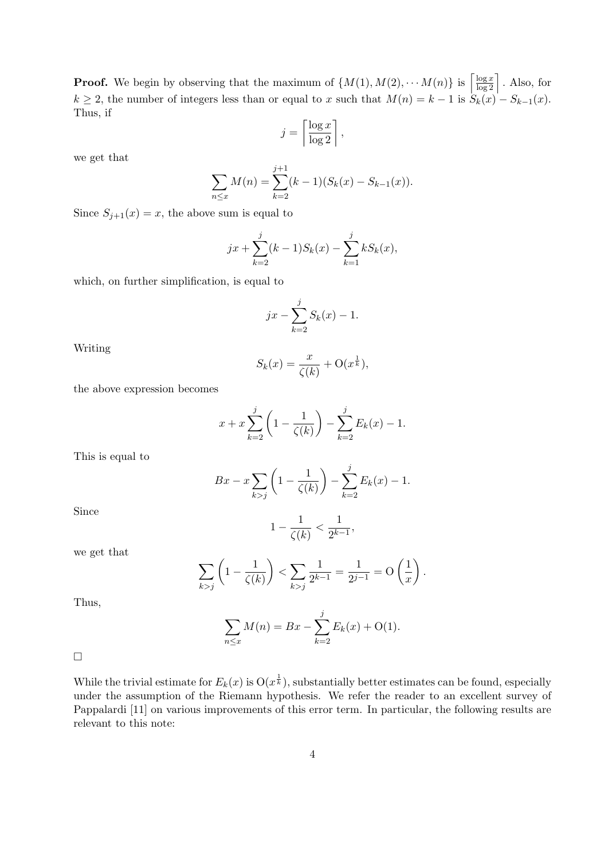**Proof.** We begin by observing that the maximum of  $\{M(1), M(2), \cdots M(n)\}\$ is  $\left[\frac{\log x}{\log 2}\right]$ . Also, for  $k \ge 2$ , the number of integers less than or equal to x such that  $M(n) = k - 1$  is  $S_k(x) - S_{k-1}(x)$ . Thus, if

$$
j = \left\lceil \frac{\log x}{\log 2} \right\rceil,
$$

we get that

$$
\sum_{n \le x} M(n) = \sum_{k=2}^{j+1} (k-1)(S_k(x) - S_{k-1}(x)).
$$

Since  $S_{j+1}(x) = x$ , the above sum is equal to

$$
jx + \sum_{k=2}^{j} (k-1)S_k(x) - \sum_{k=1}^{j} kS_k(x),
$$

which, on further simplification, is equal to

$$
jx - \sum_{k=2}^{j} S_k(x) - 1.
$$

Writing

$$
S_k(x) = \frac{x}{\zeta(k)} + \mathcal{O}(x^{\frac{1}{k}}),
$$

the above expression becomes

$$
x + x \sum_{k=2}^{j} \left( 1 - \frac{1}{\zeta(k)} \right) - \sum_{k=2}^{j} E_k(x) - 1.
$$

This is equal to

$$
Bx - x \sum_{k > j} \left( 1 - \frac{1}{\zeta(k)} \right) - \sum_{k=2}^{j} E_k(x) - 1.
$$

Since

we get that

$$
1 - \frac{1}{\zeta(k)} < \frac{1}{2^{k-1}},
$$

$$
\sum_{k > j} \left( 1 - \frac{1}{\zeta(k)} \right) < \sum_{k > j} \frac{1}{2^{k-1}} = \frac{1}{2^{j-1}} = O\left(\frac{1}{x}\right).
$$

Thus,

$$
\sum_{n \le x} M(n) = Bx - \sum_{k=2}^{j} E_k(x) + O(1).
$$

 $\Box$ 

While the trivial estimate for  $E_k(x)$  is  $O(x^{\frac{1}{k}})$ , substantially better estimates can be found, especially under the assumption of the Riemann hypothesis. We refer the reader to an excellent survey of Pappalardi [11] on various improvements of this error term. In particular, the following results are relevant to this note: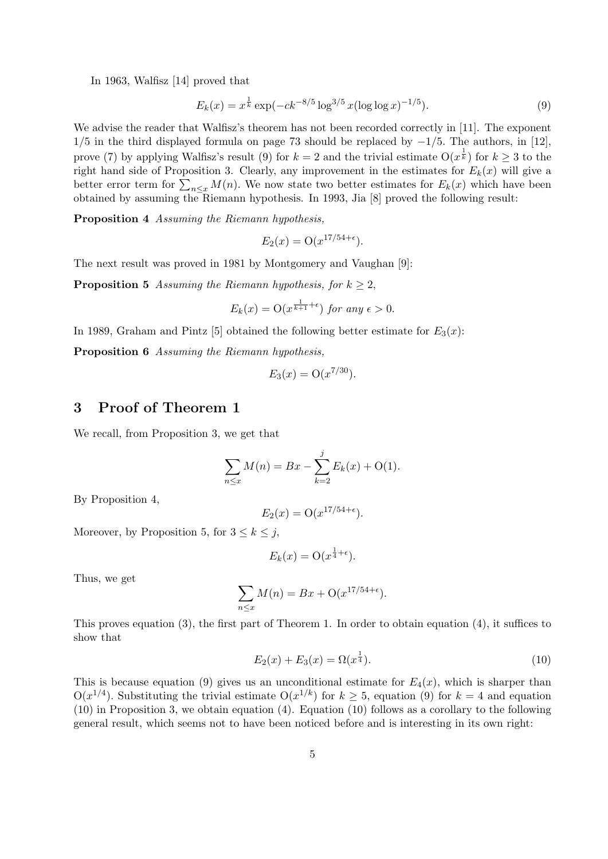In 1963, Walfisz [14] proved that

$$
E_k(x) = x^{\frac{1}{k}} \exp(-ck^{-8/5} \log^{3/5} x (\log \log x)^{-1/5}).
$$
\n(9)

We advise the reader that Walfisz's theorem has not been recorded correctly in [11]. The exponent  $1/5$  in the third displayed formula on page 73 should be replaced by  $-1/5$ . The authors, in [12], prove (7) by applying Walfisz's result (9) for  $k=2$  and the trivial estimate  $O(x^{\frac{1}{k}})$  for  $k\geq 3$  to the right hand side of Proposition 3. Clearly, any improvement in the estimates for  $E_k(x)$  will give a better error term for  $\sum_{n\leq x} M(n)$ . We now state two better estimates for  $E_k(x)$  which have been obtained by assuming the Riemann hypothesis. In 1993, Jia [8] proved the following result:

Proposition 4 Assuming the Riemann hypothesis,

$$
E_2(x) = \mathcal{O}(x^{17/54 + \epsilon}).
$$

The next result was proved in 1981 by Montgomery and Vaughan [9]:

**Proposition 5** Assuming the Riemann hypothesis, for  $k \geq 2$ ,

$$
E_k(x) = \mathcal{O}(x^{\frac{1}{k+1} + \epsilon}) \text{ for any } \epsilon > 0.
$$

In 1989, Graham and Pintz [5] obtained the following better estimate for  $E_3(x)$ :

Proposition 6 Assuming the Riemann hypothesis,

$$
E_3(x) = O(x^{7/30}).
$$

## 3 Proof of Theorem 1

We recall, from Proposition 3, we get that

$$
\sum_{n \le x} M(n) = Bx - \sum_{k=2}^{j} E_k(x) + O(1).
$$

By Proposition 4,

$$
E_2(x) = \mathcal{O}(x^{17/54 + \epsilon}).
$$

Moreover, by Proposition 5, for  $3 \leq k \leq j$ ,

$$
E_k(x) = \mathcal{O}(x^{\frac{1}{4} + \epsilon}).
$$

Thus, we get

$$
\sum_{n \le x} M(n) = Bx + \mathcal{O}(x^{17/54 + \epsilon}).
$$

This proves equation (3), the first part of Theorem 1. In order to obtain equation (4), it suffices to show that

$$
E_2(x) + E_3(x) = \Omega(x^{\frac{1}{4}}).
$$
\n(10)

This is because equation (9) gives us an unconditional estimate for  $E_4(x)$ , which is sharper than  $O(x^{1/4})$ . Substituting the trivial estimate  $O(x^{1/k})$  for  $k \geq 5$ , equation (9) for  $k = 4$  and equation (10) in Proposition 3, we obtain equation (4). Equation (10) follows as a corollary to the following general result, which seems not to have been noticed before and is interesting in its own right: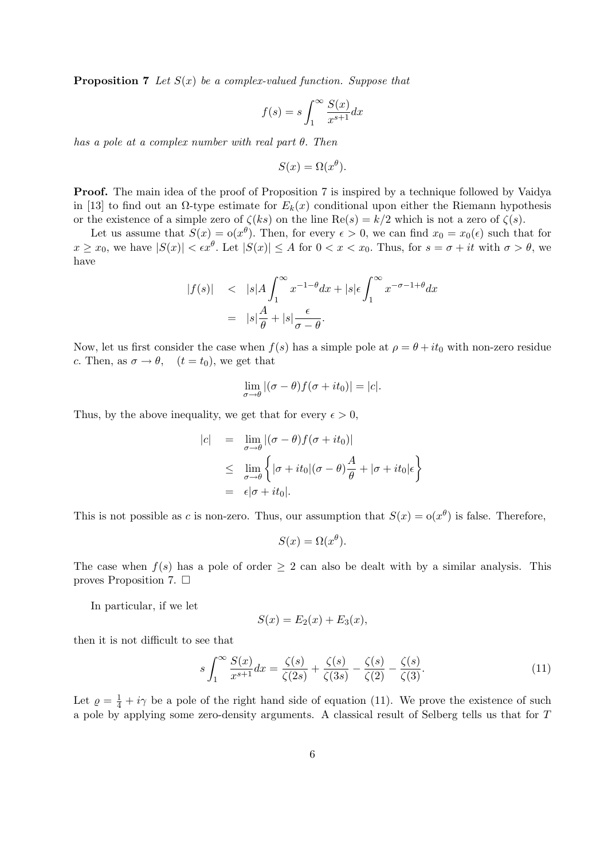**Proposition 7** Let  $S(x)$  be a complex-valued function. Suppose that

$$
f(s) = s \int_{1}^{\infty} \frac{S(x)}{x^{s+1}} dx
$$

has a pole at a complex number with real part  $\theta$ . Then

$$
S(x) = \Omega(x^{\theta}).
$$

**Proof.** The main idea of the proof of Proposition 7 is inspired by a technique followed by Vaidya in [13] to find out an  $\Omega$ -type estimate for  $E_k(x)$  conditional upon either the Riemann hypothesis or the existence of a simple zero of  $\zeta(ks)$  on the line  $\text{Re}(s) = k/2$  which is not a zero of  $\zeta(s)$ .

Let us assume that  $S(x) = o(x^{\theta})$ . Then, for every  $\epsilon > 0$ , we can find  $x_0 = x_0(\epsilon)$  such that for  $x \geq x_0$ , we have  $|S(x)| < \epsilon x^{\theta}$ . Let  $|S(x)| \leq A$  for  $0 < x < x_0$ . Thus, for  $s = \sigma + it$  with  $\sigma > \theta$ , we have

$$
|f(s)| \le |s| A \int_1^{\infty} x^{-1-\theta} dx + |s| \epsilon \int_1^{\infty} x^{-\sigma-1+\theta} dx
$$
  
=  $|s| \frac{A}{\theta} + |s| \frac{\epsilon}{\sigma - \theta}.$ 

Now, let us first consider the case when  $f(s)$  has a simple pole at  $\rho = \theta + it_0$  with non-zero residue c. Then, as  $\sigma \to \theta$ ,  $(t = t_0)$ , we get that

$$
\lim_{\sigma \to \theta} |(\sigma - \theta) f(\sigma + it_0)| = |c|.
$$

Thus, by the above inequality, we get that for every  $\epsilon > 0$ ,

$$
|c| = \lim_{\sigma \to \theta} |(\sigma - \theta)f(\sigma + it_0)|
$$
  
\n
$$
\leq \lim_{\sigma \to \theta} \left\{ |\sigma + it_0|(\sigma - \theta)\frac{A}{\theta} + |\sigma + it_0|\epsilon \right\}
$$
  
\n
$$
= \epsilon |\sigma + it_0|.
$$

This is not possible as c is non-zero. Thus, our assumption that  $S(x) = o(x^{\theta})$  is false. Therefore,

$$
S(x) = \Omega(x^{\theta}).
$$

The case when  $f(s)$  has a pole of order  $\geq 2$  can also be dealt with by a similar analysis. This proves Proposition 7.  $\Box$ 

In particular, if we let

$$
S(x) = E_2(x) + E_3(x),
$$

then it is not difficult to see that

$$
s \int_{1}^{\infty} \frac{S(x)}{x^{s+1}} dx = \frac{\zeta(s)}{\zeta(2s)} + \frac{\zeta(s)}{\zeta(3s)} - \frac{\zeta(s)}{\zeta(2)} - \frac{\zeta(s)}{\zeta(3)}.
$$
 (11)

Let  $\rho = \frac{1}{4} + i\gamma$  be a pole of the right hand side of equation (11). We prove the existence of such a pole by applying some zero-density arguments. A classical result of Selberg tells us that for T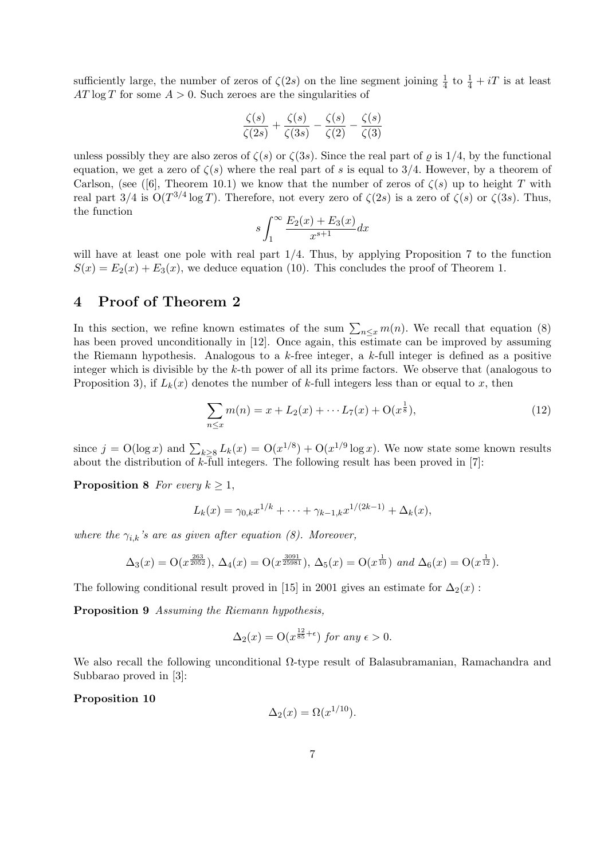sufficiently large, the number of zeros of  $\zeta(2s)$  on the line segment joining  $\frac{1}{4}$  to  $\frac{1}{4} + iT$  is at least  $AT \log T$  for some  $A > 0$ . Such zeroes are the singularities of

$$
\frac{\zeta(s)}{\zeta(2s)} + \frac{\zeta(s)}{\zeta(3s)} - \frac{\zeta(s)}{\zeta(2)} - \frac{\zeta(s)}{\zeta(3)}
$$

unless possibly they are also zeros of  $\zeta(s)$  or  $\zeta(3s)$ . Since the real part of  $\varrho$  is  $1/4$ , by the functional equation, we get a zero of  $\zeta(s)$  where the real part of s is equal to 3/4. However, by a theorem of Carlson, (see ([6], Theorem 10.1) we know that the number of zeros of  $\zeta(s)$  up to height T with real part  $3/4$  is  $O(T^{3/4} \log T)$ . Therefore, not every zero of  $\zeta(2s)$  is a zero of  $\zeta(s)$  or  $\zeta(3s)$ . Thus, the function

$$
s\int_{1}^{\infty} \frac{E_2(x) + E_3(x)}{x^{s+1}} dx
$$

will have at least one pole with real part  $1/4$ . Thus, by applying Proposition 7 to the function  $S(x) = E_2(x) + E_3(x)$ , we deduce equation (10). This concludes the proof of Theorem 1.

## 4 Proof of Theorem 2

In this section, we refine known estimates of the sum  $\sum_{n\leq x} m(n)$ . We recall that equation (8) has been proved unconditionally in [12]. Once again, this estimate can be improved by assuming the Riemann hypothesis. Analogous to a  $k$ -free integer, a  $k$ -full integer is defined as a positive integer which is divisible by the k-th power of all its prime factors. We observe that (analogous to Proposition 3), if  $L_k(x)$  denotes the number of k-full integers less than or equal to x, then

$$
\sum_{n \le x} m(n) = x + L_2(x) + \dots + L_7(x) + O(x^{\frac{1}{8}}),\tag{12}
$$

since  $j = O(\log x)$  and  $\sum_{k \geq 8} L_k(x) = O(x^{1/8}) + O(x^{1/9} \log x)$ . We now state some known results about the distribution of  $k$ -full integers. The following result has been proved in [7]:

**Proposition 8** For every  $k \geq 1$ ,

$$
L_k(x) = \gamma_{0,k} x^{1/k} + \dots + \gamma_{k-1,k} x^{1/(2k-1)} + \Delta_k(x),
$$

where the  $\gamma_{i,k}$ 's are as given after equation (8). Moreover,

$$
\Delta_3(x) = \mathcal{O}(x^{\frac{263}{2052}}), \, \Delta_4(x) = \mathcal{O}(x^{\frac{3091}{25981}}), \, \Delta_5(x) = \mathcal{O}(x^{\frac{1}{10}}) \text{ and } \Delta_6(x) = \mathcal{O}(x^{\frac{1}{12}}).
$$

The following conditional result proved in [15] in 2001 gives an estimate for  $\Delta_2(x)$ :

Proposition 9 Assuming the Riemann hypothesis,

$$
\Delta_2(x) = \mathcal{O}(x^{\frac{12}{85} + \epsilon}) \text{ for any } \epsilon > 0.
$$

We also recall the following unconditional Ω-type result of Balasubramanian, Ramachandra and Subbarao proved in [3]:

Proposition 10

$$
\Delta_2(x) = \Omega(x^{1/10}).
$$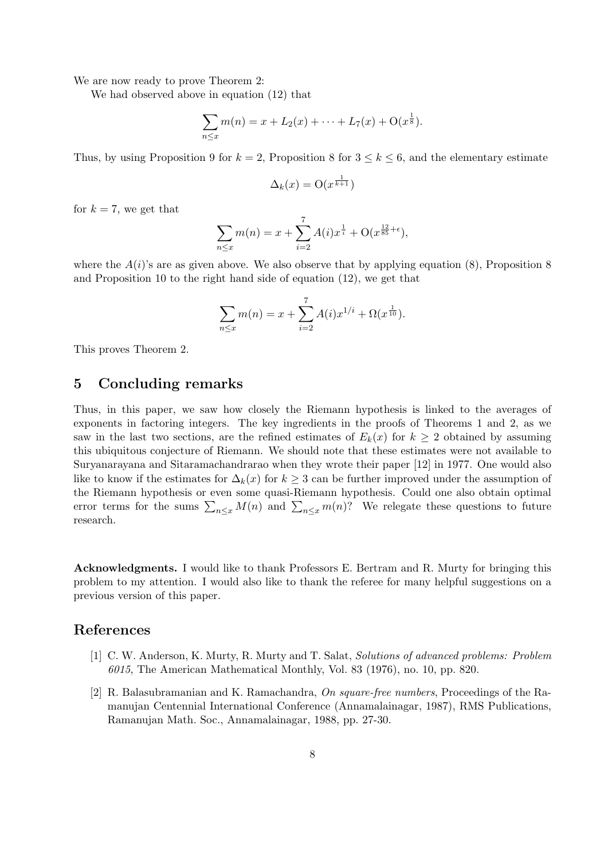We are now ready to prove Theorem 2:

We had observed above in equation (12) that

$$
\sum_{n \leq x} m(n) = x + L_2(x) + \dots + L_7(x) + O(x^{\frac{1}{8}}).
$$

Thus, by using Proposition 9 for  $k = 2$ , Proposition 8 for  $3 \leq k \leq 6$ , and the elementary estimate

$$
\Delta_k(x) = \mathcal{O}(x^{\frac{1}{k+1}})
$$

for  $k = 7$ , we get that

$$
\sum_{n \le x} m(n) = x + \sum_{i=2}^{7} A(i) x^{\frac{1}{i}} + O(x^{\frac{12}{85} + \epsilon}),
$$

where the  $A(i)$ 's are as given above. We also observe that by applying equation (8), Proposition 8 and Proposition 10 to the right hand side of equation (12), we get that

$$
\sum_{n \le x} m(n) = x + \sum_{i=2}^{7} A(i) x^{1/i} + \Omega(x^{\frac{1}{10}}).
$$

This proves Theorem 2.

### 5 Concluding remarks

Thus, in this paper, we saw how closely the Riemann hypothesis is linked to the averages of exponents in factoring integers. The key ingredients in the proofs of Theorems 1 and 2, as we saw in the last two sections, are the refined estimates of  $E_k(x)$  for  $k \geq 2$  obtained by assuming this ubiquitous conjecture of Riemann. We should note that these estimates were not available to Suryanarayana and Sitaramachandrarao when they wrote their paper [12] in 1977. One would also like to know if the estimates for  $\Delta_k(x)$  for  $k \geq 3$  can be further improved under the assumption of the Riemann hypothesis or even some quasi-Riemann hypothesis. Could one also obtain optimal error terms for the sums  $\sum_{n\leq x} M(n)$  and  $\sum_{n\leq x} m(n)$ ? We relegate these questions to future research.

Acknowledgments. I would like to thank Professors E. Bertram and R. Murty for bringing this problem to my attention. I would also like to thank the referee for many helpful suggestions on a previous version of this paper.

#### References

- [1] C. W. Anderson, K. Murty, R. Murty and T. Salat, Solutions of advanced problems: Problem 6015, The American Mathematical Monthly, Vol. 83 (1976), no. 10, pp. 820.
- [2] R. Balasubramanian and K. Ramachandra, On square-free numbers, Proceedings of the Ramanujan Centennial International Conference (Annamalainagar, 1987), RMS Publications, Ramanujan Math. Soc., Annamalainagar, 1988, pp. 27-30.